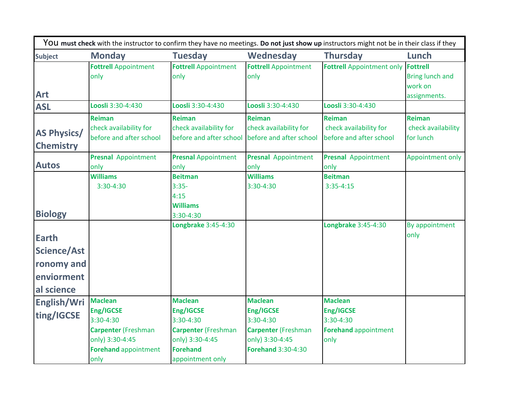| <b>Subject</b>     | <b>Monday</b>               | <b>Tuesday</b>              | Wednesday                   | <b>Thursday</b>                           | Lunch                  |
|--------------------|-----------------------------|-----------------------------|-----------------------------|-------------------------------------------|------------------------|
|                    | <b>Fottrell Appointment</b> | <b>Fottrell Appointment</b> | <b>Fottrell Appointment</b> | <b>Fottrell Appointment only Fottrell</b> |                        |
|                    | only                        | only                        | only                        |                                           | <b>Bring lunch and</b> |
|                    |                             |                             |                             |                                           | work on                |
| <b>Art</b>         |                             |                             |                             |                                           | assignments.           |
| <b>ASL</b>         | Loosli 3:30-4:430           | Loosli 3:30-4:430           | Loosli 3:30-4:430           | Loosli 3:30-4:430                         |                        |
|                    | <b>Reiman</b>               | <b>Reiman</b>               | <b>Reiman</b>               | <b>Reiman</b>                             | <b>Reiman</b>          |
| <b>AS Physics/</b> | check availability for      | check availability for      | check availability for      | check availability for                    | check availability     |
|                    | before and after school     | before and after school     | before and after school     | before and after school                   | for lunch              |
| <b>Chemistry</b>   |                             |                             |                             |                                           |                        |
| <b>Autos</b>       | <b>Presnal</b> Appointment  | <b>Presnal Appointment</b>  | <b>Presnal</b> Appointment  | <b>Presnal</b> Appointment                | Appointment only       |
|                    | only                        | only                        | only                        | only                                      |                        |
|                    | <b>Williams</b>             | <b>Beitman</b>              | <b>Williams</b>             | <b>Beitman</b>                            |                        |
|                    | 3:30-4:30                   | $3:35-$                     | 3:30-4:30                   | $3:35-4:15$                               |                        |
|                    |                             | 4:15<br><b>Williams</b>     |                             |                                           |                        |
| <b>Biology</b>     |                             | 3:30-4:30                   |                             |                                           |                        |
|                    |                             | Longbrake 3:45-4:30         |                             | Longbrake 3:45-4:30                       | By appointment         |
|                    |                             |                             |                             |                                           | only                   |
| <b>Earth</b>       |                             |                             |                             |                                           |                        |
| Science/Ast        |                             |                             |                             |                                           |                        |
| ronomy and         |                             |                             |                             |                                           |                        |
| enviorment         |                             |                             |                             |                                           |                        |
| al science         |                             |                             |                             |                                           |                        |
| English/Wri        | <b>Maclean</b>              | <b>Maclean</b>              | <b>Maclean</b>              | <b>Maclean</b>                            |                        |
| ting/IGCSE         | Eng/IGCSE                   | Eng/IGCSE                   | Eng/IGCSE                   | Eng/IGCSE                                 |                        |
|                    | 3:30-4:30                   | $3:30-4:30$                 | 3:30-4:30                   | 3:30-4:30                                 |                        |
|                    | <b>Carpenter (Freshman</b>  | <b>Carpenter (Freshman</b>  | <b>Carpenter</b> (Freshman  | <b>Forehand appointment</b>               |                        |
|                    | only) 3:30-4:45             | only) 3:30-4:45             | only) 3:30-4:45             | only                                      |                        |
|                    | <b>Forehand appointment</b> | <b>Forehand</b>             | <b>Forehand 3:30-4:30</b>   |                                           |                        |
|                    | only                        | appointment only            |                             |                                           |                        |